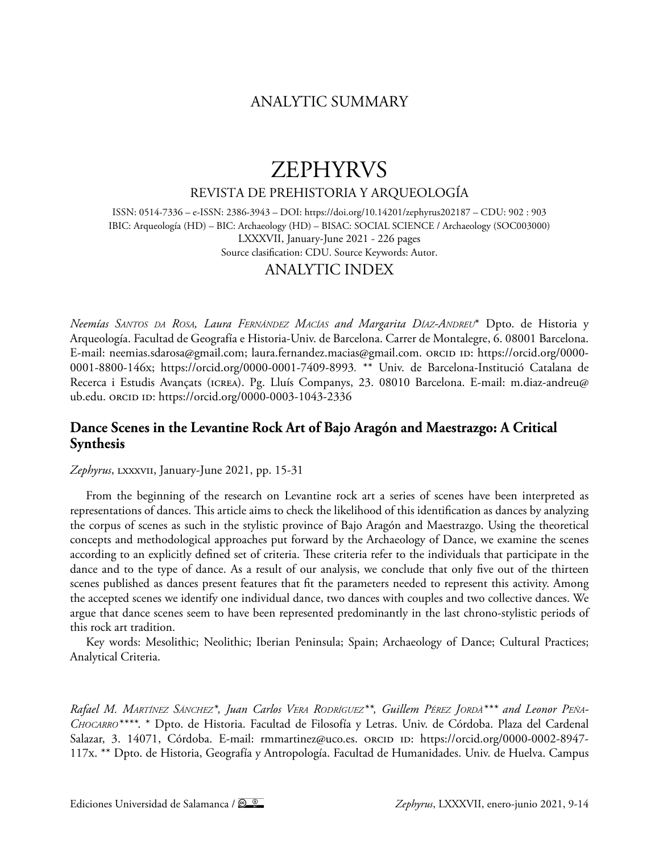## ANALYTIC SUMMARY

# ZEPHYRVS

#### REVISTA DE PREHISTORIA Y ARQUEOLOGÍA

ISSN: 0514-7336 – e-ISSN: 2386-3943 – DOI:<https://doi.org/10.14201/zephyrus202187> – CDU: 902 : 903 IBIC: Arqueología (HD) – BIC: Archaeology (HD) – BISAC: SOCIAL SCIENCE / Archaeology (SOC003000) LXXXVII, January-June 2021 - 226 pages Source clasification: CDU. Source Keywords: Autor. ANALYTIC INDEX

*Neemías Santos da Rosa, Laura Fernández Macías and Margarita Díaz-Andreu*\* Dpto. de Historia y Arqueología. Facultad de Geografía e Historia-Univ. de Barcelona. Carrer de Montalegre, 6. 08001 Barcelona. E-mail: [neemias.sdarosa@gmail.com;](mailto:neemias.sdarosa@gmail.com) [laura.fernandez.macias@gmail.com](mailto:laura.fernandez.macias@gmail.com). ORCID ID: [https://orcid.org/0000-](https://orcid.org/0000-0001-8800-146x) [0001-8800-146x](https://orcid.org/0000-0001-8800-146x); <https://orcid.org/0000-0001-7409-8993>*.* \*\* Univ. de Barcelona-Institució Catalana de Recerca i Estudis Avançats (icrea). Pg. Lluís Companys, 23. 08010 Barcelona. E-mail: [m.diaz-andreu@](mailto:m.diaz-andreu@ub.edu) [ub.edu.](mailto:m.diaz-andreu@ub.edu) ORCID ID:<https://orcid.org/0000-0003-1043-2336>

## **Dance Scenes in the Levantine Rock Art of Bajo Aragón and Maestrazgo: A Critical Synthesis**

*Zephyrus*, lxxxvii, January-June 2021, pp. 15-31

From the beginning of the research on Levantine rock art a series of scenes have been interpreted as representations of dances. This article aims to check the likelihood of this identification as dances by analyzing the corpus of scenes as such in the stylistic province of Bajo Aragón and Maestrazgo. Using the theoretical concepts and methodological approaches put forward by the Archaeology of Dance, we examine the scenes according to an explicitly defined set of criteria. These criteria refer to the individuals that participate in the dance and to the type of dance. As a result of our analysis, we conclude that only five out of the thirteen scenes published as dances present features that fit the parameters needed to represent this activity. Among the accepted scenes we identify one individual dance, two dances with couples and two collective dances. We argue that dance scenes seem to have been represented predominantly in the last chrono-stylistic periods of this rock art tradition.

Key words: Mesolithic; Neolithic; Iberian Peninsula; Spain; Archaeology of Dance; Cultural Practices; Analytical Criteria.

*Rafael M. Martínez Sánchez\*, Juan Carlos Vera Rodríguez\*\*, Guillem Pérez Jordà\*\*\* and Leonor Peña-Chocarro\*\*\*\**. \* Dpto. de Historia. Facultad de Filosofía y Letras. Univ. de Córdoba. Plaza del Cardenal Salazar, 3. 14071, Córdoba. E-mail: [rmmartinez@uco.es.](mailto:rmmartinez@uco.es) orcid id: [https://orcid.org/0000-0002-8947-](https://orcid.org/0000-0002-8947-117x) [117x](https://orcid.org/0000-0002-8947-117x). \*\* Dpto. de Historia, Geografía y Antropología. Facultad de Humanidades. Univ. de Huelva. Campus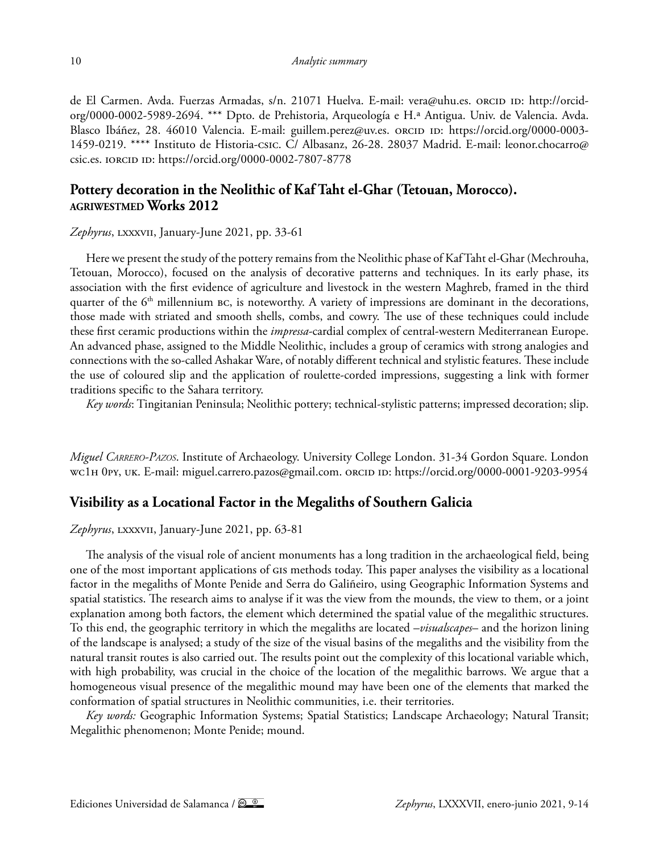de El Carmen. Avda. Fuerzas Armadas, s/n. 21071 Huelva. E-mail: [vera@uhu.es](mailto:vera@uhu.es). orcin in: [http://orcid](http://orcid-org/0000-0002-5989-2694)[org/0000-0002-5989-2694](http://orcid-org/0000-0002-5989-2694). \*\*\* Dpto. de Prehistoria, Arqueología e H.ª Antigua. Univ. de Valencia. Avda. Blasco Ibáñez, 28. 46010 Valencia. E-mail: [guillem.perez@uv.es](mailto:guillem.perez@uv.es). ORCID ID: [https://orcid.org/0000-0003-](https://orcid.org/0000-0003-1459-0219) [1459-0219.](https://orcid.org/0000-0003-1459-0219) \*\*\*\* Instituto de Historia-csic. C/ Albasanz, 26-28. 28037 Madrid. E-mail: [leonor.chocarro@](mailto:leonor.chocarro@csic.es) [csic.es](mailto:leonor.chocarro@csic.es). iorcid id: https://orcid.org/0000-0002-7807-8778

#### **Pottery decoration in the Neolithic of Kaf Taht el-Ghar (Tetouan, Morocco). agriwestmed Works 2012**

*Zephyrus*, lxxxvii, January-June 2021, pp. 33-61

Here we present the study of the pottery remains from the Neolithic phase of Kaf Taht el-Ghar (Mechrouha, Tetouan, Morocco), focused on the analysis of decorative patterns and techniques. In its early phase, its association with the first evidence of agriculture and livestock in the western Maghreb, framed in the third quarter of the  $6<sup>th</sup>$  millennium  $BC$ , is noteworthy. A variety of impressions are dominant in the decorations, those made with striated and smooth shells, combs, and cowry. The use of these techniques could include these first ceramic productions within the *impressa*-cardial complex of central-western Mediterranean Europe. An advanced phase, assigned to the Middle Neolithic, includes a group of ceramics with strong analogies and connections with the so-called Ashakar Ware, of notably different technical and stylistic features. These include the use of coloured slip and the application of roulette-corded impressions, suggesting a link with former traditions specific to the Sahara territory.

*Key words*: Tingitanian Peninsula; Neolithic pottery; technical-stylistic patterns; impressed decoration; slip.

*Miguel Carrero-Pazos*. Institute of Archaeology. University College London. 31-34 Gordon Square. London wc1H 0PY, UK. E-mail: [miguel.carrero.pazos@gmail.com.](mailto:miguel.carrero.pazos@gmail.com) ORCID ID: <https://orcid.org/0000-0001-9203-9954>

#### **Visibility as a Locational Factor in the Megaliths of Southern Galicia**

*Zephyrus*, lxxxvii, January-June 2021, pp. 63-81

The analysis of the visual role of ancient monuments has a long tradition in the archaeological field, being one of the most important applications of gis methods today. This paper analyses the visibility as a locational factor in the megaliths of Monte Penide and Serra do Galiñeiro, using Geographic Information Systems and spatial statistics. The research aims to analyse if it was the view from the mounds, the view to them, or a joint explanation among both factors, the element which determined the spatial value of the megalithic structures. To this end, the geographic territory in which the megaliths are located –*visualscapes*– and the horizon lining of the landscape is analysed; a study of the size of the visual basins of the megaliths and the visibility from the natural transit routes is also carried out. The results point out the complexity of this locational variable which, with high probability, was crucial in the choice of the location of the megalithic barrows. We argue that a homogeneous visual presence of the megalithic mound may have been one of the elements that marked the conformation of spatial structures in Neolithic communities, i.e. their territories.

*Key words:* Geographic Information Systems; Spatial Statistics; Landscape Archaeology; Natural Transit; Megalithic phenomenon; Monte Penide; mound.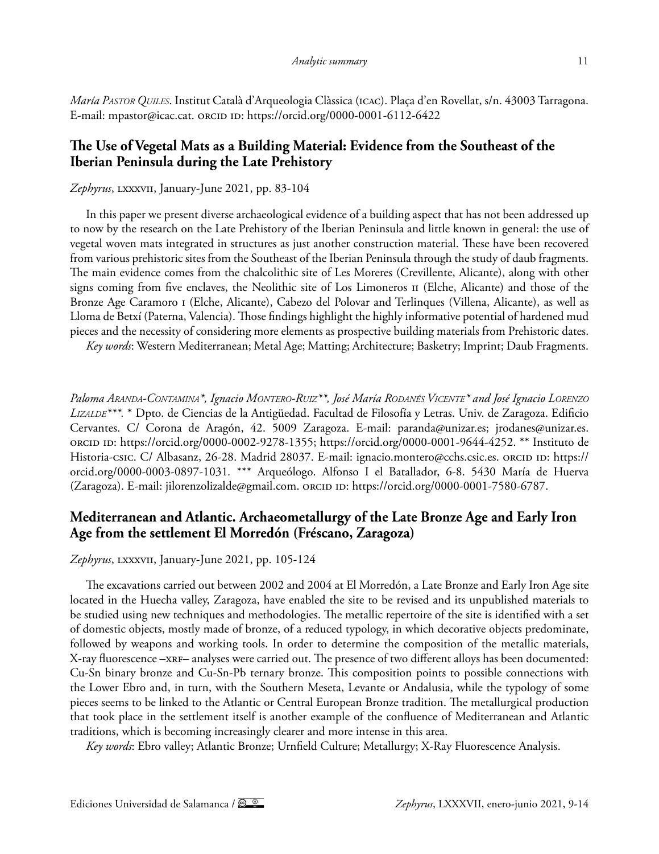*María Pastor Quiles*. Institut Català d'Arqueologia Clàssica (icac). Plaça d'en Rovellat, s/n. 43003 Tarragona. E-mail: [mpastor@icac.cat.](mailto:mpastor@icac.cat) orcid id: https://orcid.org/0000-0001-6112-6422

## **The Use of Vegetal Mats as a Building Material: Evidence from the Southeast of the Iberian Peninsula during the Late Prehistory**

*Zephyrus*, lxxxvii, January-June 2021, pp. 83-104

In this paper we present diverse archaeological evidence of a building aspect that has not been addressed up to now by the research on the Late Prehistory of the Iberian Peninsula and little known in general: the use of vegetal woven mats integrated in structures as just another construction material. These have been recovered from various prehistoric sites from the Southeast of the Iberian Peninsula through the study of daub fragments. The main evidence comes from the chalcolithic site of Les Moreres (Crevillente, Alicante), along with other signs coming from five enclaves, the Neolithic site of Los Limoneros ii (Elche, Alicante) and those of the Bronze Age Caramoro i (Elche, Alicante), Cabezo del Polovar and Terlinques (Villena, Alicante), as well as Lloma de Betxí (Paterna, Valencia). Those findings highlight the highly informative potential of hardened mud pieces and the necessity of considering more elements as prospective building materials from Prehistoric dates.

*Key words*: Western Mediterranean; Metal Age; Matting; Architecture; Basketry; Imprint; Daub Fragments.

*Paloma Aranda-Contamina\*, Ignacio Montero-Ruiz\*\*, José María Rodanés Vicente\* and José Ignacio Lorenzo Lizalde\*\*\*.* \* Dpto. de Ciencias de la Antigüedad. Facultad de Filosofía y Letras. Univ. de Zaragoza. Edificio Cervantes. C/ Corona de Aragón, 42. 5009 Zaragoza. E-mail: [paranda@unizar.es;](mailto:paranda@unizar.es) [jrodanes@unizar.es.](mailto:jrodanes@unizar.es) orcid id: https://orcid.org/0000-0002-9278-1355; <https://orcid.org/0000-0001-9644-4252>. \*\* Instituto de Historia-csic. C/ Albasanz, 26-28. Madrid 28037. E-mail: [ignacio.montero@cchs.csic.es.](mailto:ignacio.montero@cchs.csic.es) orcid id: [https://](https://orcid.org/0000-0003-0897-1031) [orcid.org/0000-0003-0897-1031](https://orcid.org/0000-0003-0897-1031)*.* \*\*\* Arqueólogo. Alfonso I el Batallador, 6-8. 5430 María de Huerva (Zaragoza). E-mail: [jilorenzolizalde@gmail.com](mailto:jilorenzolizalde@gmail.com). orcid id: https://orcid.org/0000-0001-7580-6787.

## **Mediterranean and Atlantic. Archaeometallurgy of the Late Bronze Age and Early Iron Age from the settlement El Morredón (Fréscano, Zaragoza)**

*Zephyrus*, lxxxvii, January-June 2021, pp. 105-124

The excavations carried out between 2002 and 2004 at El Morredón, a Late Bronze and Early Iron Age site located in the Huecha valley, Zaragoza, have enabled the site to be revised and its unpublished materials to be studied using new techniques and methodologies. The metallic repertoire of the site is identified with a set of domestic objects, mostly made of bronze, of a reduced typology, in which decorative objects predominate, followed by weapons and working tools. In order to determine the composition of the metallic materials, X-ray fluorescence –xrf– analyses were carried out. The presence of two different alloys has been documented: Cu-Sn binary bronze and Cu-Sn-Pb ternary bronze. This composition points to possible connections with the Lower Ebro and, in turn, with the Southern Meseta, Levante or Andalusia, while the typology of some pieces seems to be linked to the Atlantic or Central European Bronze tradition. The metallurgical production that took place in the settlement itself is another example of the confluence of Mediterranean and Atlantic traditions, which is becoming increasingly clearer and more intense in this area.

*Key words*: Ebro valley; Atlantic Bronze; Urnfield Culture; Metallurgy; X-Ray Fluorescence Analysis.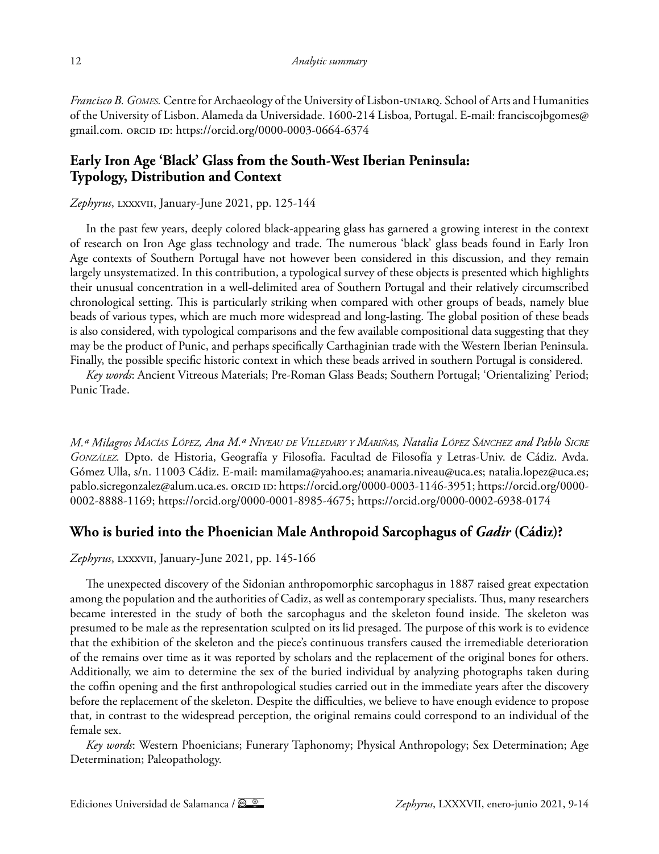*Francisco B. Gomes.* Centre for Archaeology of the University of Lisbon-uniarq. School of Arts and Humanities of the University of Lisbon. Alameda da Universidade. 1600-214 Lisboa, Portugal. E-mail: [franciscojbgomes@](mailto:franciscojbgomes%40gmail.com?subject=) [gmail.com](mailto:franciscojbgomes%40gmail.com?subject=). orcid id: <https://orcid.org/0000-0003-0664-6374>

## **Early Iron Age 'Black' Glass from the South-West Iberian Peninsula: Typology, Distribution and Context**

*Zephyrus*, lxxxvii, January-June 2021, pp. 125-144

In the past few years, deeply colored black-appearing glass has garnered a growing interest in the context of research on Iron Age glass technology and trade. The numerous 'black' glass beads found in Early Iron Age contexts of Southern Portugal have not however been considered in this discussion, and they remain largely unsystematized. In this contribution, a typological survey of these objects is presented which highlights their unusual concentration in a well-delimited area of Southern Portugal and their relatively circumscribed chronological setting. This is particularly striking when compared with other groups of beads, namely blue beads of various types, which are much more widespread and long-lasting. The global position of these beads is also considered, with typological comparisons and the few available compositional data suggesting that they may be the product of Punic, and perhaps specifically Carthaginian trade with the Western Iberian Peninsula. Finally, the possible specific historic context in which these beads arrived in southern Portugal is considered.

*Key words*: Ancient Vitreous Materials; Pre-Roman Glass Beads; Southern Portugal; 'Orientalizing' Period; Punic Trade.

*M.ª Milagros Macías López, Ana M.ª Niveau de Villedary y Mariñas, Natalia López Sánchez and Pablo Sicre González.* Dpto. de Historia, Geografía y Filosofía. Facultad de Filosofía y Letras-Univ. de Cádiz. Avda. Gómez Ulla, s/n. 11003 Cádiz. E-mail: [mamilama@yahoo.es](mailto:mamilama@yahoo.es); [anamaria.niveau@uca.es; natalia.lopez@uca.es;](mailto:anamaria.niveau@uca.es) [pablo.sicregonzalez@alum.uca.es.](mailto:pablo.sicregonzalez@alum.uca.es) orcid id: [https://orcid.org/0000-0003-1146-3951;](https://orcid.org/0000-0003-1146-3951) [https://orcid.org/0000-](https://orcid.org/0000-0002-8888-1169) [0002-8888-1169](https://orcid.org/0000-0002-8888-1169); [https://orcid.org/0000-0001-8985-4675;](https://orcid.org/0000-0001-8985-4675)<https://orcid.org/0000-0002-6938-0174>

## **Who is buried into the Phoenician Male Anthropoid Sarcophagus of** *Gadir* **(Cádiz)?**

*Zephyrus*, lxxxvii, January-June 2021, pp. 145-166

The unexpected discovery of the Sidonian anthropomorphic sarcophagus in 1887 raised great expectation among the population and the authorities of Cadiz, as well as contemporary specialists. Thus, many researchers became interested in the study of both the sarcophagus and the skeleton found inside. The skeleton was presumed to be male as the representation sculpted on its lid presaged. The purpose of this work is to evidence that the exhibition of the skeleton and the piece's continuous transfers caused the irremediable deterioration of the remains over time as it was reported by scholars and the replacement of the original bones for others. Additionally, we aim to determine the sex of the buried individual by analyzing photographs taken during the coffin opening and the first anthropological studies carried out in the immediate years after the discovery before the replacement of the skeleton. Despite the difficulties, we believe to have enough evidence to propose that, in contrast to the widespread perception, the original remains could correspond to an individual of the female sex.

*Key words*: Western Phoenicians; Funerary Taphonomy; Physical Anthropology; Sex Determination; Age Determination; Paleopathology.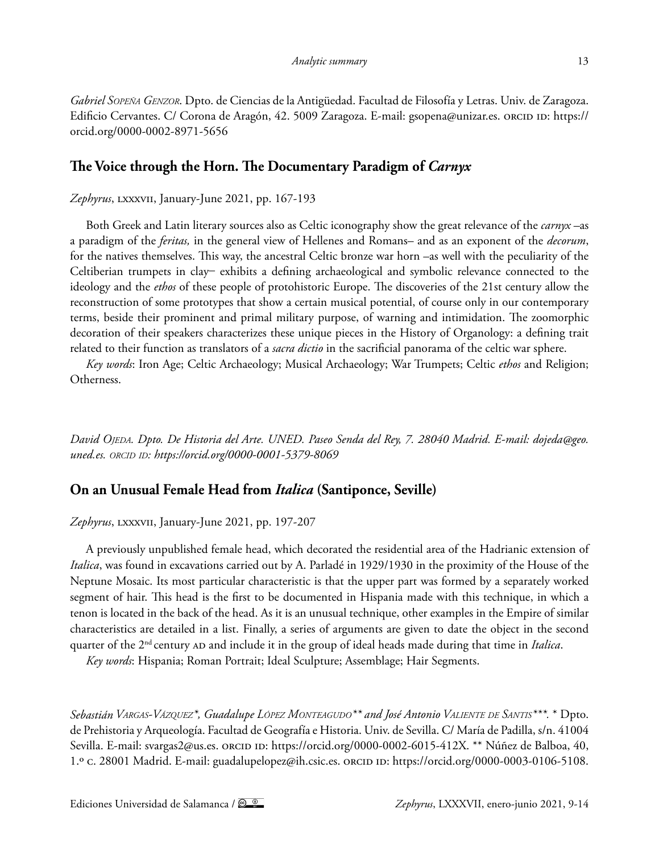### **The Voice through the Horn. The Documentary Paradigm of** *Carnyx*

*Zephyrus*, lxxxvii, January-June 2021, pp. 167-193

Both Greek and Latin literary sources also as Celtic iconography show the great relevance of the *carnyx –*as a paradigm of the *feritas,* in the general view of Hellenes and Romans– and as an exponent of the *decorum*, for the natives themselves. This way, the ancestral Celtic bronze war horn –as well with the peculiarity of the Celtiberian trumpets in clay– exhibits a defining archaeological and symbolic relevance connected to the ideology and the *ethos* of these people of protohistoric Europe. The discoveries of the 21st century allow the reconstruction of some prototypes that show a certain musical potential, of course only in our contemporary terms, beside their prominent and primal military purpose, of warning and intimidation. The zoomorphic decoration of their speakers characterizes these unique pieces in the History of Organology: a defining trait related to their function as translators of a *sacra dictio* in the sacrificial panorama of the celtic war sphere.

*Key words*: Iron Age; Celtic Archaeology; Musical Archaeology; War Trumpets; Celtic *ethos* and Religion; Otherness.

*David Ojeda. Dpto. De Historia del Arte. UNED. Paseo Senda del Rey, 7. 28040 Madrid. E-mail: [dojeda@geo.](mailto:dojeda@geo.uned.es) [uned.es.](mailto:dojeda@geo.uned.es) orcid id:<https://orcid.org/0000-0001-5379-8069>*

#### **On an Unusual Female Head from** *Italica* **(Santiponce, Seville)**

*Zephyrus*, lxxxvii, January-June 2021, pp. 197-207

A previously unpublished female head, which decorated the residential area of the Hadrianic extension of *Italica*, was found in excavations carried out by A. Parladé in 1929/1930 in the proximity of the House of the Neptune Mosaic. Its most particular characteristic is that the upper part was formed by a separately worked segment of hair. This head is the first to be documented in Hispania made with this technique, in which a tenon is located in the back of the head. As it is an unusual technique, other examples in the Empire of similar characteristics are detailed in a list. Finally, a series of arguments are given to date the object in the second quarter of the 2<sup>nd</sup> century AD and include it in the group of ideal heads made during that time in *Italica*.

*Key words*: Hispania; Roman Portrait; Ideal Sculpture; Assemblage; Hair Segments.

*Sebastián Vargas-Vázquez\*, Guadalupe López Monteagudo\*\* and José Antonio Valiente de Santis\*\*\*.* \* Dpto. de Prehistoria y Arqueología. Facultad de Geografía e Historia. Univ. de Sevilla. C/ María de Padilla, s/n. 41004 Sevilla. E-mail: [svargas2@us.es](mailto:svargas2@us.es). ORCID ID: [https://orcid.org/](https://orcid.org/0000-0002-6015-4832)0000-0002-6015-412X. \*\* Núñez de Balboa, 40, 1.º c. 28001 Madrid. E-mail: [guadalupelopez@ih.csic.es.](mailto:guadalupelopez@ih.csic.es) orcid id: [https://orcid.org/0000-0003-0106-5108.](https://orcid.org/0000-0003-0106-5108)